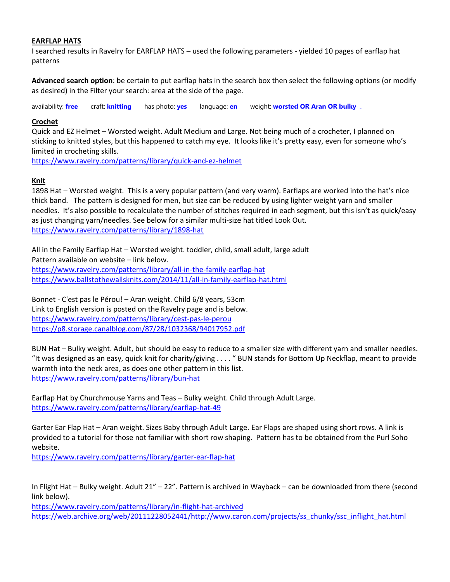## **EARFLAP HATS**

I searched results in Ravelry for EARFLAP HATS – used the following parameters - yielded 10 pages of earflap hat patterns

**Advanced search option**: be certain to put earflap hats in the search box then select the following options (or modify as desired) in the Filter your search: area at the side of the page.

availability: **[free](https://www.ravelry.com/patterns/search)** craft: **[knitting](https://www.ravelry.com/patterns/search)** has photo: **[yes](https://www.ravelry.com/patterns/search)** language: **[en](https://www.ravelry.com/patterns/search)** weight: **[worsted OR Aran](https://www.ravelry.com/patterns/search) OR bulky**clear

## **Crochet**

Quick and EZ Helmet – Worsted weight. Adult Medium and Large. Not being much of a crocheter, I planned on sticking to knitted styles, but this happened to catch my eye. It looks like it's pretty easy, even for someone who's limited in crocheting skills.

<https://www.ravelry.com/patterns/library/quick-and-ez-helmet>

## **Knit**

1898 Hat – Worsted weight. This is a very popular pattern (and very warm). Earflaps are worked into the hat's nice thick band. The pattern is designed for men, but size can be reduced by using lighter weight yarn and smaller needles. It's also possible to recalculate the number of stitches required in each segment, but this isn't as quick/easy as just changing yarn/needles. See below for a similar multi-size hat titled Look Out. <https://www.ravelry.com/patterns/library/1898-hat>

All in the Family Earflap Hat – Worsted weight. toddler, child, small adult, large adult Pattern available on website – link below. <https://www.ravelry.com/patterns/library/all-in-the-family-earflap-hat> <https://www.ballstothewallsknits.com/2014/11/all-in-family-earflap-hat.html>

Bonnet - C'est pas le Pérou! – Aran weight. Child 6/8 years, 53cm Link to English version is posted on the Ravelry page and is below. <https://www.ravelry.com/patterns/library/cest-pas-le-perou> <https://p8.storage.canalblog.com/87/28/1032368/94017952.pdf>

BUN Hat – Bulky weight. Adult, but should be easy to reduce to a smaller size with different yarn and smaller needles. "It was designed as an easy, quick knit for charity/giving . . . . " BUN stands for Bottom Up Neckflap, meant to provide warmth into the neck area, as does one other pattern in this list. <https://www.ravelry.com/patterns/library/bun-hat>

Earflap Hat by [Churchmouse Yarns and Teas](https://www.ravelry.com/designers/churchmouse-yarns-and-teas) – Bulky weight. Child through Adult Large. <https://www.ravelry.com/patterns/library/earflap-hat-49>

Garter Ear Flap Hat – Aran weight. Sizes Baby through Adult Large. Ear Flaps are shaped using short rows. A link is provided to a tutorial for those not familiar with short row shaping. Pattern has to be obtained from the Purl Soho website.

<https://www.ravelry.com/patterns/library/garter-ear-flap-hat>

In Flight Hat – Bulky weight. Adult 21" – 22". Pattern is archived in Wayback – can be downloaded from there (second link below).

<https://www.ravelry.com/patterns/library/in-flight-hat-archived> [https://web.archive.org/web/20111228052441/http://www.caron.com/projects/ss\\_chunky/ssc\\_inflight\\_hat.html](https://web.archive.org/web/20111228052441/http:/www.caron.com/projects/ss_chunky/ssc_inflight_hat.html)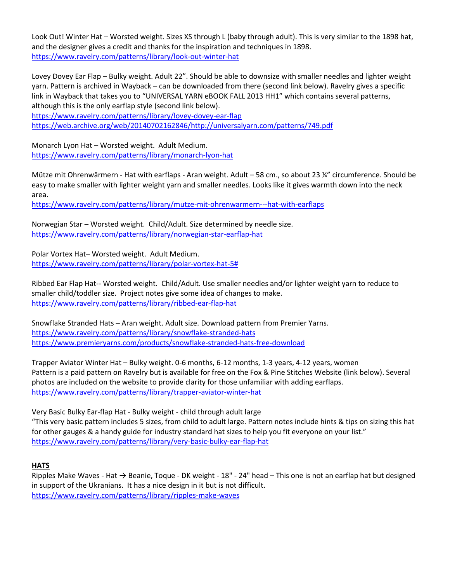Look Out! Winter Hat – Worsted weight. Sizes XS through L (baby through adult). This is very similar to the 1898 hat, and the designer gives a credit and thanks for the inspiration and techniques in 1898. <https://www.ravelry.com/patterns/library/look-out-winter-hat>

Lovey Dovey Ear Flap – Bulky weight. Adult 22". Should be able to downsize with smaller needles and lighter weight yarn. Pattern is archived in Wayback – can be downloaded from there (second link below). Ravelry gives a specific link in Wayback that takes you to "UNIVERSAL YARN eBOOK FALL 2013 HH1" which contains several patterns, although this is the only earflap style (second link below).

<https://www.ravelry.com/patterns/library/lovey-dovey-ear-flap> [https://web.archive.org/web/20140702162846/http://universalyarn.com/patterns/749.pdf](https://web.archive.org/web/20140702162846/http:/universalyarn.com/patterns/749.pdf)

Monarch Lyon Hat – Worsted weight. Adult Medium. <https://www.ravelry.com/patterns/library/monarch-lyon-hat>

Mütze mit Ohrenwärmern - Hat with earflaps - Aran weight. Adult – 58 cm., so about 23 ¼" circumference. Should be easy to make smaller with lighter weight yarn and smaller needles. Looks like it gives warmth down into the neck area.

<https://www.ravelry.com/patterns/library/mutze-mit-ohrenwarmern---hat-with-earflaps>

Norwegian Star – Worsted weight. Child/Adult. Size determined by needle size. <https://www.ravelry.com/patterns/library/norwegian-star-earflap-hat>

Polar Vortex Hat– Worsted weight. Adult Medium. [https://www.ravelry.com/patterns/library/polar-vortex-hat-5#](https://www.ravelry.com/patterns/library/polar-vortex-hat-5)

Ribbed Ear Flap Hat-- Worsted weight. Child/Adult. Use smaller needles and/or lighter weight yarn to reduce to smaller child/toddler size. Project notes give some idea of changes to make. <https://www.ravelry.com/patterns/library/ribbed-ear-flap-hat>

Snowflake Stranded Hats – Aran weight. Adult size. Download pattern from Premier Yarns. <https://www.ravelry.com/patterns/library/snowflake-stranded-hats> <https://www.premieryarns.com/products/snowflake-stranded-hats-free-download>

Trapper Aviator Winter Hat – Bulky weight. 0-6 months, 6-12 months, 1-3 years, 4-12 years, women Pattern is a paid pattern on Ravelry but is available for free on th[e Fox & Pine Stitches Website](https://www.ravelry.com/patterns/sources/fox--pine-stitches-website) (link below). Several photos are included on the website to provide clarity for those unfamiliar with adding earflaps. <https://www.ravelry.com/patterns/library/trapper-aviator-winter-hat>

Very Basic Bulky Ear-flap Hat - Bulky weight - child through adult large "This very basic pattern includes 5 sizes, from child to adult large. Pattern notes include hints & tips on sizing this hat for other gauges & a handy guide for industry standard hat sizes to help you fit everyone on your list." <https://www.ravelry.com/patterns/library/very-basic-bulky-ear-flap-hat>

# **HATS**

Ripples Make Waves - Hat → Beanie, Toque - DK weight - 18" - 24" head – This one is not an earflap hat but designed in support of the Ukranians. It has a nice design in it but is not difficult. <https://www.ravelry.com/patterns/library/ripples-make-waves>